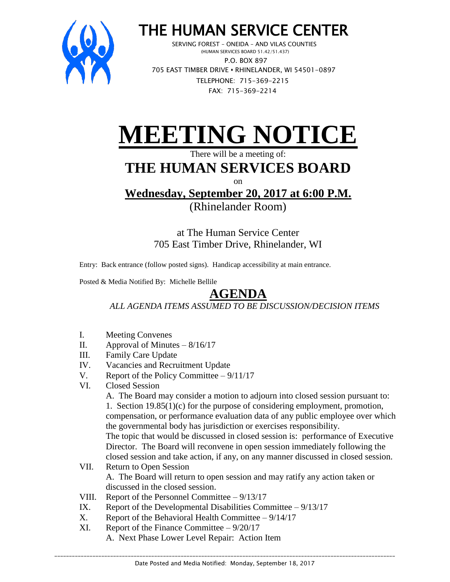

## THE HUMAN SERVICE CENTER

 SERVING FOREST – ONEIDA – AND VILAS COUNTIES (HUMAN SERVICES BOARD 51.42/51.437) P.O. BOX 897 705 EAST TIMBER DRIVE **•** RHINELANDER, WI 54501-0897 TELEPHONE: 715-369-2215 FAX: 715-369-2214

## **EETING NOTICE**

There will be a meeting of:

## **THE HUMAN SERVICES BOARD**

 $\alpha$ n

**Wednesday, September 20, 2017 at 6:00 P.M.** (Rhinelander Room)

> at The Human Service Center 705 East Timber Drive, Rhinelander, WI

Entry: Back entrance (follow posted signs). Handicap accessibility at main entrance.

Posted & Media Notified By: Michelle Bellile

## **AGENDA**

*ALL AGENDA ITEMS ASSUMED TO BE DISCUSSION/DECISION ITEMS*

- I. Meeting Convenes
- II. Approval of Minutes  $-8/16/17$
- III. Family Care Update
- IV. Vacancies and Recruitment Update
- V. Report of the Policy Committee 9/11/17
- VI. Closed Session

A. The Board may consider a motion to adjourn into closed session pursuant to: 1. Section 19.85(1)(c) for the purpose of considering employment, promotion, compensation, or performance evaluation data of any public employee over which the governmental body has jurisdiction or exercises responsibility.

The topic that would be discussed in closed session is: performance of Executive Director. The Board will reconvene in open session immediately following the closed session and take action, if any, on any manner discussed in closed session.

- VII. Return to Open Session A. The Board will return to open session and may ratify any action taken or discussed in the closed session.
- VIII. Report of the Personnel Committee 9/13/17
- IX. Report of the Developmental Disabilities Committee  $-9/13/17$
- X. Report of the Behavioral Health Committee  $-9/14/17$
- XI. Report of the Finance Committee 9/20/17
	- A. Next Phase Lower Level Repair: Action Item